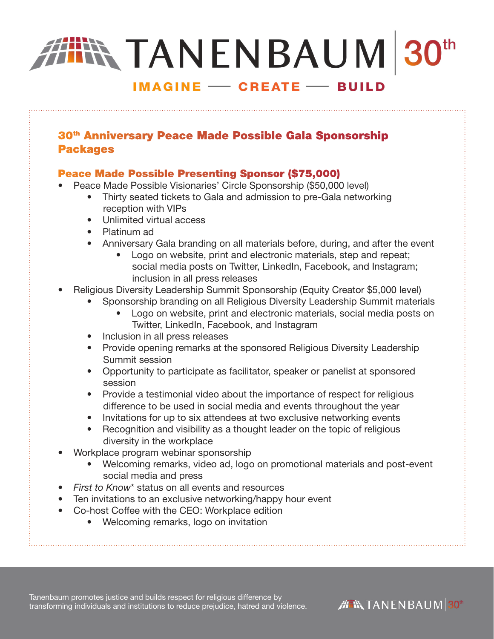# **TANENBAUM 30th**

## **IMAGINE - CREATE - BUILD**

## 30<sup>th</sup> Anniversary Peace Made Possible Gala Sponsorship Packages

## Peace Made Possible Presenting Sponsor (\$75,000)

- Peace Made Possible Visionaries' Circle Sponsorship (\$50,000 level)
	- Thirty seated tickets to Gala and admission to pre-Gala networking reception with VIPs
	- Unlimited virtual access
	- Platinum ad
	- Anniversary Gala branding on all materials before, during, and after the event
		- Logo on website, print and electronic materials, step and repeat; social media posts on Twitter, LinkedIn, Facebook, and Instagram; inclusion in all press releases
- Religious Diversity Leadership Summit Sponsorship (Equity Creator \$5,000 level)
	- Sponsorship branding on all Religious Diversity Leadership Summit materials
		- Logo on website, print and electronic materials, social media posts on Twitter, LinkedIn, Facebook, and Instagram
	- Inclusion in all press releases
	- Provide opening remarks at the sponsored Religious Diversity Leadership Summit session
	- Opportunity to participate as facilitator, speaker or panelist at sponsored session
	- Provide a testimonial video about the importance of respect for religious difference to be used in social media and events throughout the year
	- Invitations for up to six attendees at two exclusive networking events
	- Recognition and visibility as a thought leader on the topic of religious diversity in the workplace
- Workplace program webinar sponsorship
	- Welcoming remarks, video ad, logo on promotional materials and post-event social media and press
- *First to Know*\* status on all events and resources
- Ten invitations to an exclusive networking/happy hour event
- Co-host Coffee with the CEO: Workplace edition
	- Welcoming remarks, logo on invitation

Tanenbaum promotes justice and builds respect for religious difference by transforming individuals and institutions to reduce prejudice, hatred and violence.

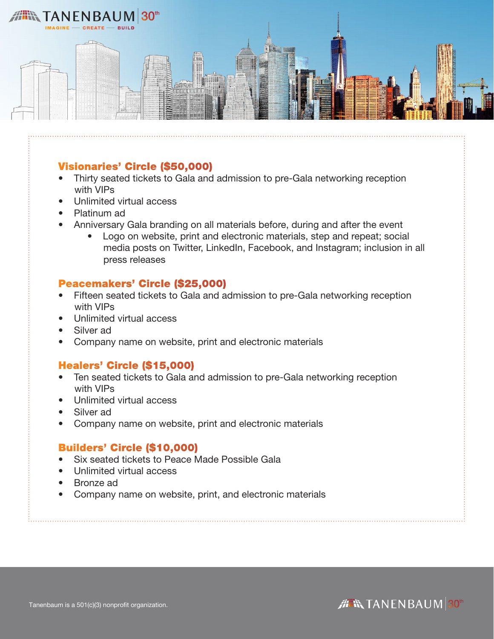

## Visionaries' Circle (\$50,000)

- Thirty seated tickets to Gala and admission to pre-Gala networking reception with VIPs
- Unlimited virtual access
- Platinum ad
- Anniversary Gala branding on all materials before, during and after the event
	- Logo on website, print and electronic materials, step and repeat; social media posts on Twitter, LinkedIn, Facebook, and Instagram; inclusion in all press releases

## Peacemakers' Circle (\$25,000)

- Fifteen seated tickets to Gala and admission to pre-Gala networking reception with VIPs
- Unlimited virtual access
- Silver ad
- Company name on website, print and electronic materials

## Healers' Circle (\$15,000)

- Ten seated tickets to Gala and admission to pre-Gala networking reception with VIPs
- Unlimited virtual access
- Silver ad
- Company name on website, print and electronic materials

## Builders' Circle (\$10,000)

- Six seated tickets to Peace Made Possible Gala
- Unlimited virtual access
- Bronze ad
- Company name on website, print, and electronic materials